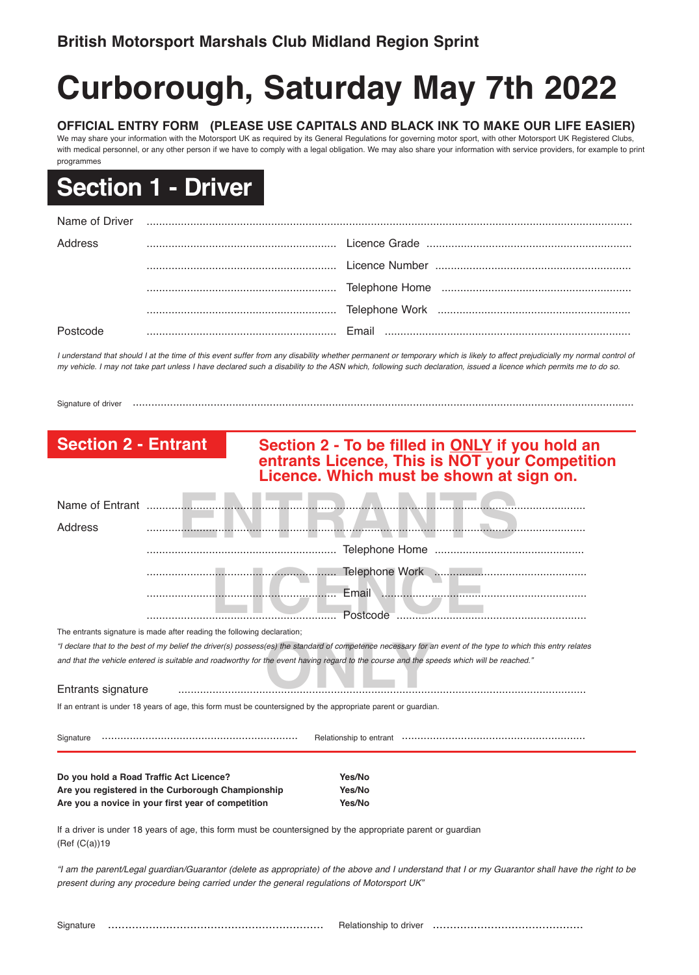# **Curborough, Saturday May 7th 2022**

**OFFICIAL ENTRY FORM (PLEASE USE CAPITALS AND BLACK INK TO MAKE OUR LIFE EASIER)** We may share your information with the Motorsport UK as required by its General Regulations for governing motor sport, with other Motorsport UK Registered Clubs, with medical personnel, or any other person if we have to comply with a legal obligation. We may also share your information with service providers, for example to print

## **Section 1 - Driver**

programmes

| Name of Driver |  |
|----------------|--|
| Address        |  |
|                |  |
|                |  |
|                |  |
|                |  |

I understand that should I at the time of this event suffer from any disability whether permanent or temporary which is likely to affect prejudicially my normal control of my vehicle. I may not take part unless I have declared such a disability to the ASN which, following such declaration, issued a licence which permits me to do so.

Signature of driver .................................................................................................................................................................

## **ENTRANTS AND ALTERNATIVE CONSUMING AND ALTERNATIVE CONSUMING AND ALTERNATIVE CONSUMING AND ALTERNATIVE CONSUMING AND ALTERNATIVE CONSUMING AND ALTERNATIVE CONSUMING AND ALTERNATIVE CONSUMING AND ALTERNATIVE CONSUMING AND Section 2 - Entrant Section 2 - To be filled in ONLY if you hold an entrants Licence, This is NOT your Competition Licence. Which must be shown at sign on.** Name of Entrant .............................................................................................................................................

| Address                                                                                                                                                      |                                                                         |       |  |  |
|--------------------------------------------------------------------------------------------------------------------------------------------------------------|-------------------------------------------------------------------------|-------|--|--|
|                                                                                                                                                              |                                                                         |       |  |  |
|                                                                                                                                                              |                                                                         |       |  |  |
|                                                                                                                                                              |                                                                         | Email |  |  |
|                                                                                                                                                              |                                                                         |       |  |  |
|                                                                                                                                                              | The entrants signature is made after reading the following declaration; |       |  |  |
| "I declare that to the best of my belief the driver(s) possess(es) the standard of competence necessary for an event of the type to which this entry relates |                                                                         |       |  |  |
| and that the vehicle entered is suitable and roadworthy for the event having regard to the course and the speeds which will be reached."                     |                                                                         |       |  |  |
| Entrants signature                                                                                                                                           |                                                                         |       |  |  |
| If an entrant is under 18 years of age, this form must be countersigned by the appropriate parent or guardian.                                               |                                                                         |       |  |  |
| Signature                                                                                                                                                    |                                                                         |       |  |  |
|                                                                                                                                                              |                                                                         |       |  |  |

**Do you hold a Road Traffic Act Licence? Yes/No Are you registered in the Curborough Championship Yes/No Are you a novice in your first year of competition Yes/No**

If a driver is under 18 years of age, this form must be countersigned by the appropriate parent or guardian (Ref (C(a))19

"I am the parent/Legal guardian/Guarantor (delete as appropriate) of the above and I understand that I or my Guarantor shall have the right to be *present during any procedure being carried under the general regulations of Motorsport UK"*

Signature ............................................................... Relationship to driver ............................................